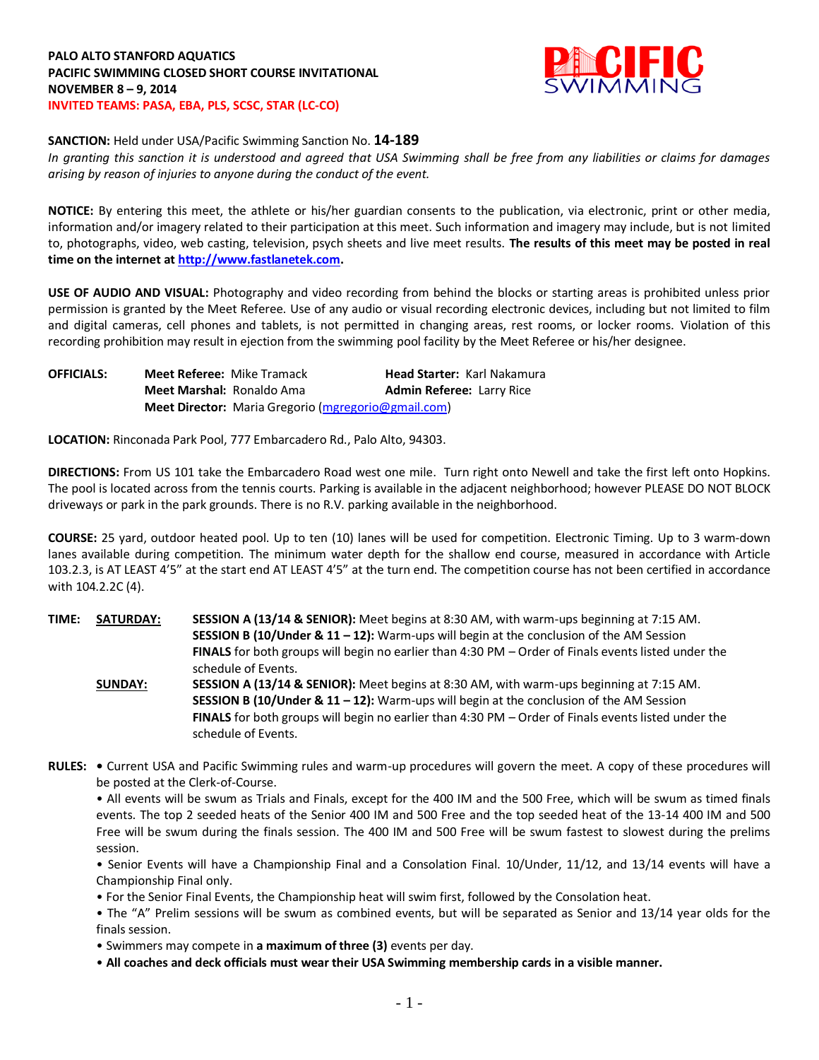

## **SANCTION:** Held under USA/Pacific Swimming Sanction No. **14-189**

*In granting this sanction it is understood and agreed that USA Swimming shall be free from any liabilities or claims for damages arising by reason of injuries to anyone during the conduct of the event.*

**NOTICE:** By entering this meet, the athlete or his/her guardian consents to the publication, via electronic, print or other media, information and/or imagery related to their participation at this meet. Such information and imagery may include, but is not limited to, photographs, video, web casting, television, psych sheets and live meet results. **The results of this meet may be posted in real time on the internet at [http://www.fastlanetek.com.](http://www.fastlanetek.com/)**

**USE OF AUDIO AND VISUAL:** Photography and video recording from behind the blocks or starting areas is prohibited unless prior permission is granted by the Meet Referee. Use of any audio or visual recording electronic devices, including but not limited to film and digital cameras, cell phones and tablets, is not permitted in changing areas, rest rooms, or locker rooms. Violation of this recording prohibition may result in ejection from the swimming pool facility by the Meet Referee or his/her designee.

| <b>OFFICIALS:</b> | <b>Meet Referee: Mike Tramack</b> |                                                     | <b>Head Starter: Karl Nakamura</b> |  |
|-------------------|-----------------------------------|-----------------------------------------------------|------------------------------------|--|
|                   | <b>Meet Marshal: Ronaldo Ama</b>  |                                                     | <b>Admin Referee: Larry Rice</b>   |  |
|                   |                                   | Meet Director: Maria Gregorio (mgregorio@gmail.com) |                                    |  |

**LOCATION:** Rinconada Park Pool, 777 Embarcadero Rd., Palo Alto, 94303.

**DIRECTIONS:** From US 101 take the Embarcadero Road west one mile. Turn right onto Newell and take the first left onto Hopkins. The pool is located across from the tennis courts. Parking is available in the adjacent neighborhood; however PLEASE DO NOT BLOCK driveways or park in the park grounds. There is no R.V. parking available in the neighborhood.

**COURSE:** 25 yard, outdoor heated pool. Up to ten (10) lanes will be used for competition. Electronic Timing. Up to 3 warm-down lanes available during competition. The minimum water depth for the shallow end course, measured in accordance with Article 103.2.3, is AT LEAST 4'5" at the start end AT LEAST 4'5" at the turn end. The competition course has not been certified in accordance with 104.2.2C (4).

**TIME: SATURDAY: SESSION A (13/14 & SENIOR):** Meet begins at 8:30 AM, with warm-ups beginning at 7:15 AM. **SESSION B (10/Under & 11 – 12):** Warm-ups will begin at the conclusion of the AM Session **FINALS** for both groups will begin no earlier than 4:30 PM – Order of Finals events listed under the schedule of Events. **SUNDAY: SESSION A (13/14 & SENIOR):** Meet begins at 8:30 AM, with warm-ups beginning at 7:15 AM. **SESSION B (10/Under & 11 – 12):** Warm-ups will begin at the conclusion of the AM Session **FINALS** for both groups will begin no earlier than 4:30 PM – Order of Finals events listed under the schedule of Events.

**RULES: •** Current USA and Pacific Swimming rules and warm-up procedures will govern the meet. A copy of these procedures will be posted at the Clerk-of-Course.

• All events will be swum as Trials and Finals, except for the 400 IM and the 500 Free, which will be swum as timed finals events. The top 2 seeded heats of the Senior 400 IM and 500 Free and the top seeded heat of the 13-14 400 IM and 500 Free will be swum during the finals session. The 400 IM and 500 Free will be swum fastest to slowest during the prelims session.

• Senior Events will have a Championship Final and a Consolation Final. 10/Under, 11/12, and 13/14 events will have a Championship Final only.

• For the Senior Final Events, the Championship heat will swim first, followed by the Consolation heat.

• The "A" Prelim sessions will be swum as combined events, but will be separated as Senior and 13/14 year olds for the finals session.

• Swimmers may compete in **a maximum of three (3)** events per day.

• **All coaches and deck officials must wear their USA Swimming membership cards in a visible manner.**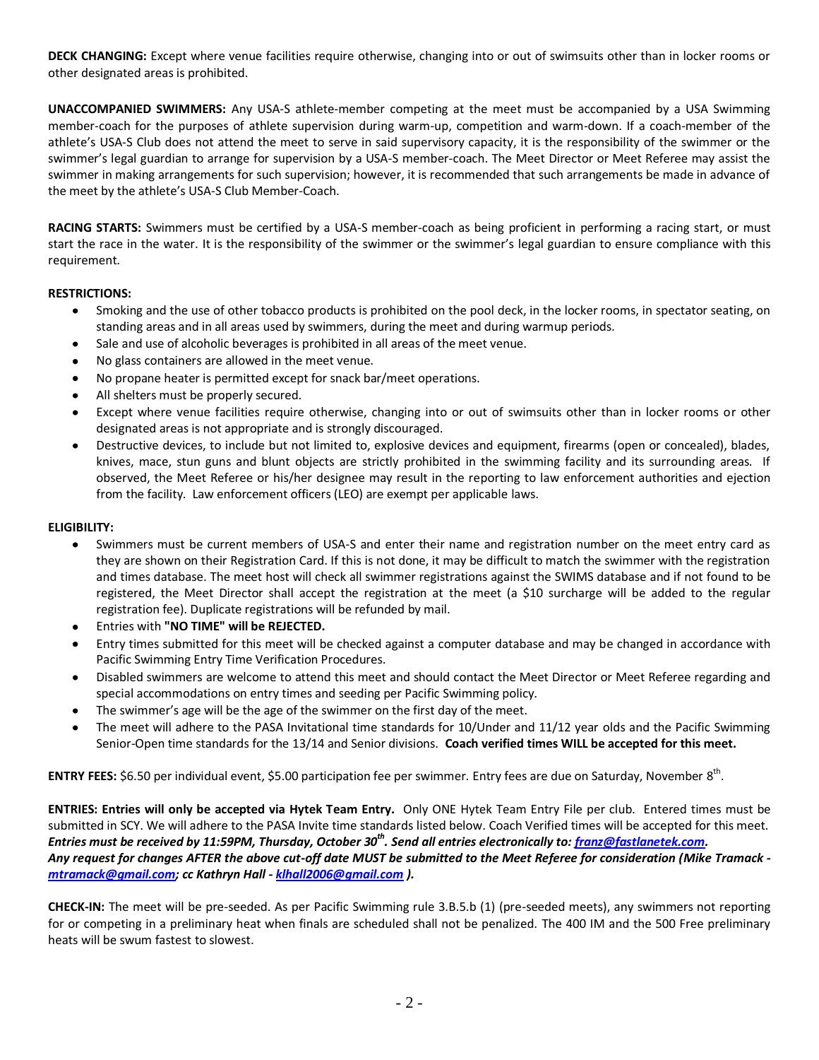**DECK CHANGING:** Except where venue facilities require otherwise, changing into or out of swimsuits other than in locker rooms or other designated areas is prohibited.

**UNACCOMPANIED SWIMMERS:** Any USA-S athlete-member competing at the meet must be accompanied by a USA Swimming member-coach for the purposes of athlete supervision during warm-up, competition and warm-down. If a coach-member of the athlete's USA-S Club does not attend the meet to serve in said supervisory capacity, it is the responsibility of the swimmer or the swimmer's legal guardian to arrange for supervision by a USA-S member-coach. The Meet Director or Meet Referee may assist the swimmer in making arrangements for such supervision; however, it is recommended that such arrangements be made in advance of the meet by the athlete's USA-S Club Member-Coach.

**RACING STARTS:** Swimmers must be certified by a USA-S member-coach as being proficient in performing a racing start, or must start the race in the water. It is the responsibility of the swimmer or the swimmer's legal guardian to ensure compliance with this requirement.

## **RESTRICTIONS:**

- Smoking and the use of other tobacco products is prohibited on the pool deck, in the locker rooms, in spectator seating, on standing areas and in all areas used by swimmers, during the meet and during warmup periods.
- Sale and use of alcoholic beverages is prohibited in all areas of the meet venue.
- No glass containers are allowed in the meet venue.
- No propane heater is permitted except for snack bar/meet operations.
- All shelters must be properly secured.
- Except where venue facilities require otherwise, changing into or out of swimsuits other than in locker rooms or other designated areas is not appropriate and is strongly discouraged.
- Destructive devices, to include but not limited to, explosive devices and equipment, firearms (open or concealed), blades,  $\bullet$ knives, mace, stun guns and blunt objects are strictly prohibited in the swimming facility and its surrounding areas. If observed, the Meet Referee or his/her designee may result in the reporting to law enforcement authorities and ejection from the facility. Law enforcement officers (LEO) are exempt per applicable laws.

## **ELIGIBILITY:**

- Swimmers must be current members of USA-S and enter their name and registration number on the meet entry card as  $\bullet$ they are shown on their Registration Card. If this is not done, it may be difficult to match the swimmer with the registration and times database. The meet host will check all swimmer registrations against the SWIMS database and if not found to be registered, the Meet Director shall accept the registration at the meet (a \$10 surcharge will be added to the regular registration fee). Duplicate registrations will be refunded by mail.
- Entries with **"NO TIME" will be REJECTED.**  $\bullet$
- Entry times submitted for this meet will be checked against a computer database and may be changed in accordance with  $\bullet$ Pacific Swimming Entry Time Verification Procedures.
- $\bullet$ Disabled swimmers are welcome to attend this meet and should contact the Meet Director or Meet Referee regarding and special accommodations on entry times and seeding per Pacific Swimming policy.
- The swimmer's age will be the age of the swimmer on the first day of the meet.  $\bullet$
- The meet will adhere to the PASA Invitational time standards for 10/Under and 11/12 year olds and the Pacific Swimming Senior-Open time standards for the 13/14 and Senior divisions. **Coach verified times WILL be accepted for this meet.**

**ENTRY FEES:** \$6.50 per individual event, \$5.00 participation fee per swimmer. Entry fees are due on Saturday, November 8<sup>th</sup>.

**ENTRIES: Entries will only be accepted via Hytek Team Entry.** Only ONE Hytek Team Entry File per club. Entered times must be submitted in SCY. We will adhere to the PASA Invite time standards listed below. Coach Verified times will be accepted for this meet. Entries must be received by 11:59PM, Thursday, October 30<sup>th</sup>. Send all entries electronically to: <u>franz@fastlanetek.com</u>. *Any request for changes AFTER the above cut-off date MUST be submitted to the Meet Referee for consideration (Mike Tramack [mtramack@gmail.com;](mailto:mtramack@gmail.com) cc Kathryn Hall - [klhall2006@gmail.com](mailto:klhall2006@gmail.com) ).*

**CHECK-IN:** The meet will be pre-seeded. As per Pacific Swimming rule 3.B.5.b (1) (pre-seeded meets), any swimmers not reporting for or competing in a preliminary heat when finals are scheduled shall not be penalized. The 400 IM and the 500 Free preliminary heats will be swum fastest to slowest.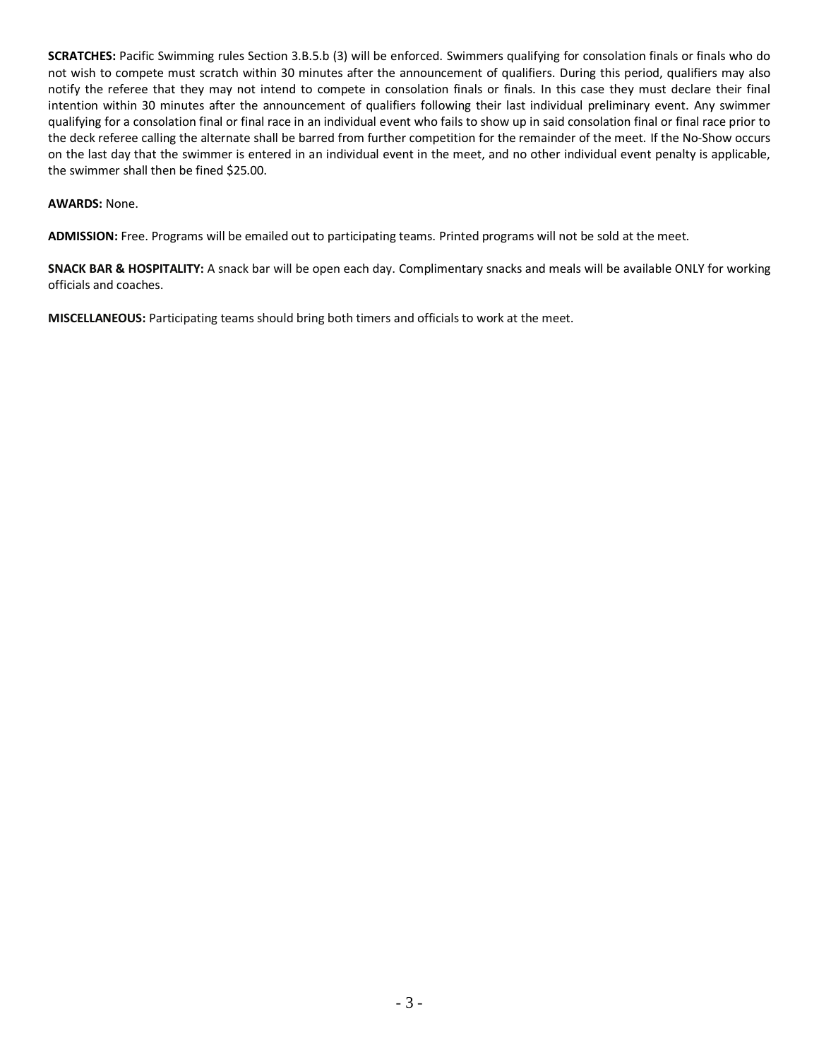**SCRATCHES:** Pacific Swimming rules Section 3.B.5.b (3) will be enforced. Swimmers qualifying for consolation finals or finals who do not wish to compete must scratch within 30 minutes after the announcement of qualifiers. During this period, qualifiers may also notify the referee that they may not intend to compete in consolation finals or finals. In this case they must declare their final intention within 30 minutes after the announcement of qualifiers following their last individual preliminary event. Any swimmer qualifying for a consolation final or final race in an individual event who fails to show up in said consolation final or final race prior to the deck referee calling the alternate shall be barred from further competition for the remainder of the meet. If the No-Show occurs on the last day that the swimmer is entered in an individual event in the meet, and no other individual event penalty is applicable, the swimmer shall then be fined \$25.00.

## **AWARDS:** None.

**ADMISSION:** Free. Programs will be emailed out to participating teams. Printed programs will not be sold at the meet.

**SNACK BAR & HOSPITALITY:** A snack bar will be open each day. Complimentary snacks and meals will be available ONLY for working officials and coaches.

**MISCELLANEOUS:** Participating teams should bring both timers and officials to work at the meet.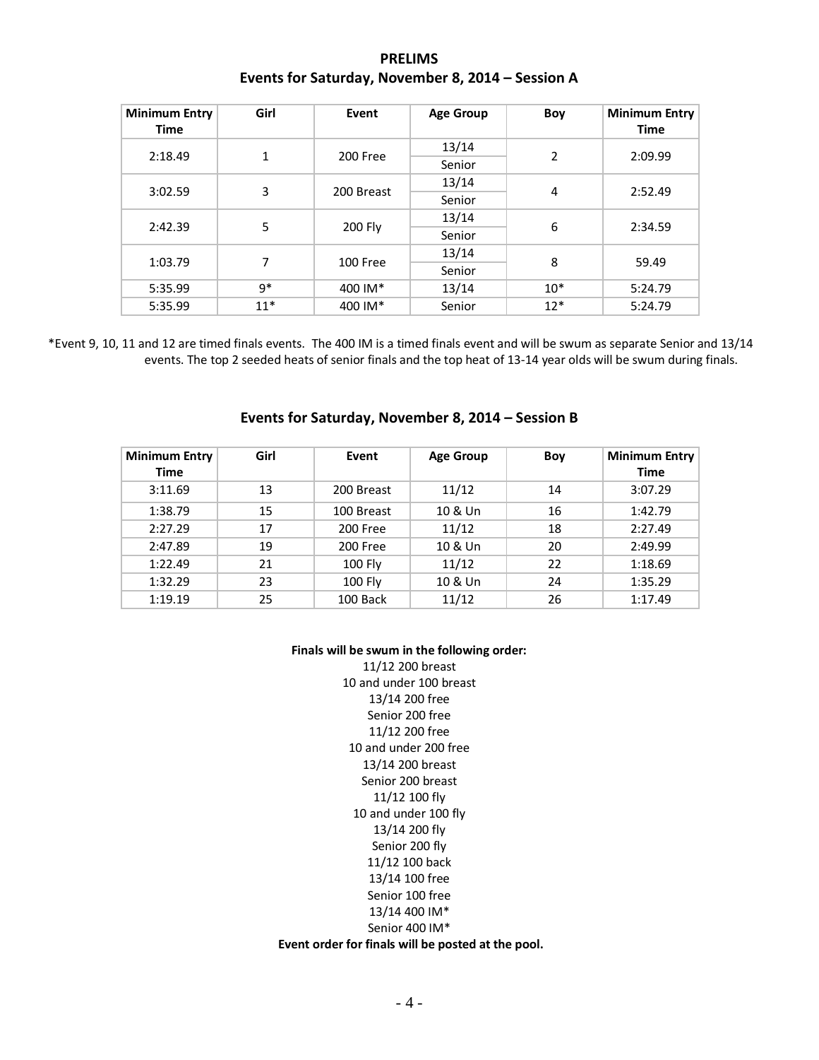| <b>PRELIMS</b>                                    |
|---------------------------------------------------|
| Events for Saturday, November 8, 2014 - Session A |

| <b>Minimum Entry</b><br><b>Time</b> | Girl  | Event      | <b>Age Group</b> | Boy            | <b>Minimum Entry</b><br><b>Time</b> |
|-------------------------------------|-------|------------|------------------|----------------|-------------------------------------|
| 2:18.49                             | 1     | 200 Free   | 13/14            | $\overline{2}$ | 2:09.99                             |
|                                     |       |            | Senior           |                |                                     |
| 3:02.59                             | 3     | 200 Breast | 13/14            | 4              | 2:52.49                             |
|                                     |       |            | Senior           |                |                                     |
| 2:42.39                             | 5     | 200 Fly    | 13/14            | 6              | 2:34.59                             |
|                                     |       |            | Senior           |                |                                     |
| 1:03.79                             | 7     | 100 Free   | 13/14            | 8              | 59.49                               |
|                                     |       |            | Senior           |                |                                     |
| 5:35.99                             | $9*$  | 400 IM*    | 13/14            | $10*$          | 5:24.79                             |
| 5:35.99                             | $11*$ | 400 IM*    | Senior           | $12*$          | 5:24.79                             |

\*Event 9, 10, 11 and 12 are timed finals events. The 400 IM is a timed finals event and will be swum as separate Senior and 13/14 events. The top 2 seeded heats of senior finals and the top heat of 13-14 year olds will be swum during finals.

| <b>Minimum Entry</b> | Girl | Event          | <b>Age Group</b> | Boy | Minimum Entry |
|----------------------|------|----------------|------------------|-----|---------------|
| Time                 |      |                |                  |     | <b>Time</b>   |
| 3:11.69              | 13   | 200 Breast     | 11/12            | 14  | 3:07.29       |
| 1:38.79              | 15   | 100 Breast     | 10 & Un          | 16  | 1:42.79       |
| 2:27.29              | 17   | 200 Free       | 11/12            | 18  | 2:27.49       |
| 2:47.89              | 19   | 200 Free       | 10 & Un          | 20  | 2:49.99       |
| 1:22.49              | 21   | <b>100 Fly</b> | 11/12            | 22  | 1:18.69       |
| 1:32.29              | 23   | <b>100 Fly</b> | 10 & Un          | 24  | 1:35.29       |
| 1:19.19              | 25   | 100 Back       | 11/12            | 26  | 1:17.49       |

**Events for Saturday, November 8, 2014 – Session B**

#### **Finals will be swum in the following order:**

11/12 200 breast 10 and under 100 breast 13/14 200 free Senior 200 free 11/12 200 free 10 and under 200 free 13/14 200 breast Senior 200 breast 11/12 100 fly 10 and under 100 fly 13/14 200 fly Senior 200 fly 11/12 100 back 13/14 100 free Senior 100 free 13/14 400 IM\* Senior 400 IM\*

#### **Event order for finals will be posted at the pool.**